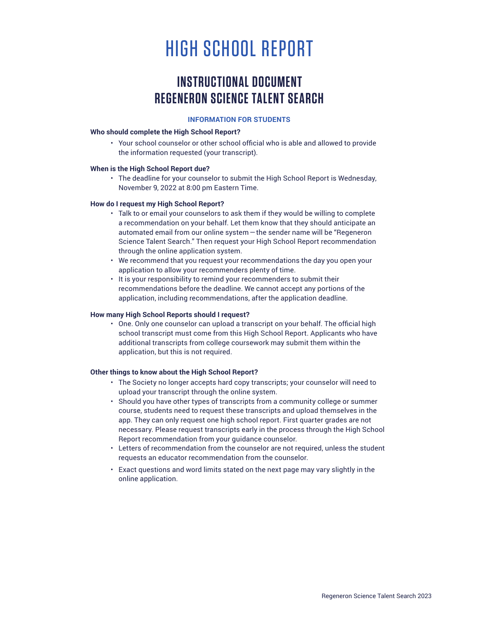# HIGH SCHOOL REPORT

## **INSTRUCTIONAL DOCUMENT REGENERON SCIENCE TALENT SEARCH**

#### **INFORMATION FOR STUDENTS**

#### **Who should complete the High School Report?**

• Your school counselor or other school official who is able and allowed to provide the information requested (your transcript).

#### **When is the High School Report due?**

• The deadline for your counselor to submit the High School Report is Wednesday, November 9, 2022 at 8:00 pm Eastern Time.

#### **How do I request my High School Report?**

- Talk to or email your counselors to ask them if they would be willing to complete a recommendation on your behalf. Let them know that they should anticipate an automated email from our online system—the sender name will be "Regeneron Science Talent Search." Then request your High School Report recommendation through the online application system.
- We recommend that you request your recommendations the day you open your application to allow your recommenders plenty of time.
- It is your responsibility to remind your recommenders to submit their recommendations before the deadline. We cannot accept any portions of the application, including recommendations, after the application deadline.

#### **How many High School Reports should I request?**

• One. Only one counselor can upload a transcript on your behalf. The official high school transcript must come from this High School Report. Applicants who have additional transcripts from college coursework may submit them within the application, but this is not required.

#### **Other things to know about the High School Report?**

- The Society no longer accepts hard copy transcripts; your counselor will need to upload your transcript through the online system.
- Should you have other types of transcripts from a community college or summer course, students need to request these transcripts and upload themselves in the app. They can only request one high school report. First quarter grades are not necessary. Please request transcripts early in the process through the High School Report recommendation from your guidance counselor.
- Letters of recommendation from the counselor are not required, unless the student requests an educator recommendation from the counselor.
- Exact questions and word limits stated on the next page may vary slightly in the online application.